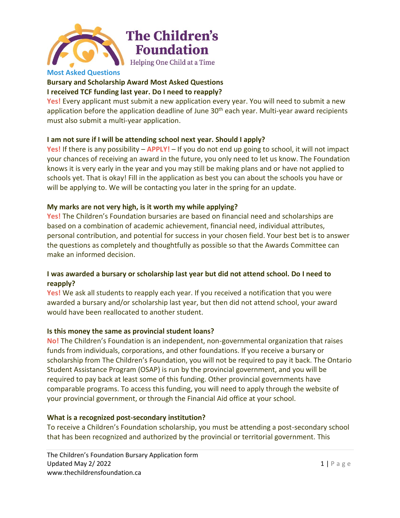

# **The Children's Foundation** Helping One Child at a Time

## **Bursary and Scholarship Award Most Asked Questions I received TCF funding last year. Do I need to reapply?**

**Yes!** Every applicant must submit a new application every year. You will need to submit a new application before the application deadline of June  $30<sup>th</sup>$  each year. Multi-year award recipients must also submit a multi-year application.

## **I am not sure if I will be attending school next year. Should I apply?**

**Yes!** If there is any possibility – **APPLY!** – If you do not end up going to school, it will not impact your chances of receiving an award in the future, you only need to let us know. The Foundation knows it is very early in the year and you may still be making plans and or have not applied to schools yet. That is okay! Fill in the application as best you can about the schools you have or will be applying to. We will be contacting you later in the spring for an update.

# **My marks are not very high, is it worth my while applying?**

**Yes!** The Children's Foundation bursaries are based on financial need and scholarships are based on a combination of academic achievement, financial need, individual attributes, personal contribution, and potential for success in your chosen field. Your best bet is to answer the questions as completely and thoughtfully as possible so that the Awards Committee can make an informed decision.

## **I was awarded a bursary or scholarship last year but did not attend school. Do I need to reapply?**

**Yes!** We ask all students to reapply each year. If you received a notification that you were awarded a bursary and/or scholarship last year, but then did not attend school, your award would have been reallocated to another student.

## **Is this money the same as provincial student loans?**

**No!** The Children's Foundation is an independent, non-governmental organization that raises funds from individuals, corporations, and other foundations. If you receive a bursary or scholarship from The Children's Foundation, you will not be required to pay it back. The Ontario Student Assistance Program (OSAP) is run by the provincial government, and you will be required to pay back at least some of this funding. Other provincial governments have comparable programs. To access this funding, you will need to apply through the website of your provincial government, or through the Financial Aid office at your school.

## **What is a recognized post-secondary institution?**

To receive a Children's Foundation scholarship, you must be attending a post-secondary school that has been recognized and authorized by the provincial or territorial government. This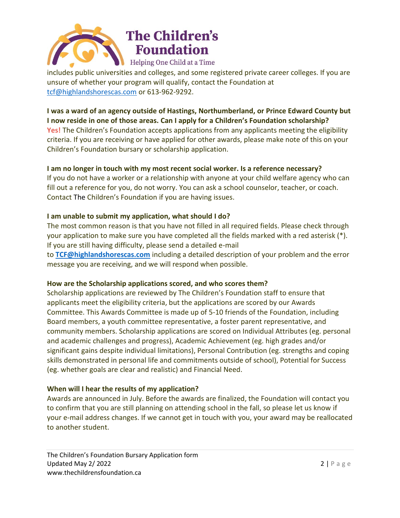

# **The Children's Foundation** Helping One Child at a Time

includes public universities and colleges, and some registered private career colleges. If you are unsure of whether your program will qualify, contact the Foundation at [tcf@highlandshorescas.com](mailto:tcf@highlandshorescas.com) or 613-962-9292.

**I was a ward of an agency outside of Hastings, Northumberland, or Prince Edward County but I now reside in one of those areas. Can I apply for a Children's Foundation scholarship? Yes!** The Children's Foundation accepts applications from any applicants meeting the eligibility criteria. If you are receiving or have applied for other awards, please make note of this on your Children's Foundation bursary or scholarship application.

#### **I am no longer in touch with my most recent social worker. Is a reference necessary?**

If you do not have a worker or a relationship with anyone at your child welfare agency who can fill out a reference for you, do not worry. You can ask a school counselor, teacher, or coach. Contact The Children's Foundation if you are having issues.

## **I am unable to submit my application, what should I do?**

The most common reason is that you have not filled in all required fields. Please check through your application to make sure you have completed all the fields marked with a red asterisk (\*). If you are still having difficulty, please send a detailed e-mail

to **[TCF@highlandshorescas.com](mailto:TCF@highlandshorescas.com)** including a detailed description of your problem and the error message you are receiving, and we will respond when possible.

## **How are the Scholarship applications scored, and who scores them?**

Scholarship applications are reviewed by The Children's Foundation staff to ensure that applicants meet the eligibility criteria, but the applications are scored by our Awards Committee. This Awards Committee is made up of 5-10 friends of the Foundation, including Board members, a youth committee representative, a foster parent representative, and community members. Scholarship applications are scored on Individual Attributes (eg. personal and academic challenges and progress), Academic Achievement (eg. high grades and/or significant gains despite individual limitations), Personal Contribution (eg. strengths and coping skills demonstrated in personal life and commitments outside of school), Potential for Success (eg. whether goals are clear and realistic) and Financial Need.

#### **When will I hear the results of my application?**

Awards are announced in July. Before the awards are finalized, the Foundation will contact you to confirm that you are still planning on attending school in the fall, so please let us know if your e-mail address changes. If we cannot get in touch with you, your award may be reallocated to another student.